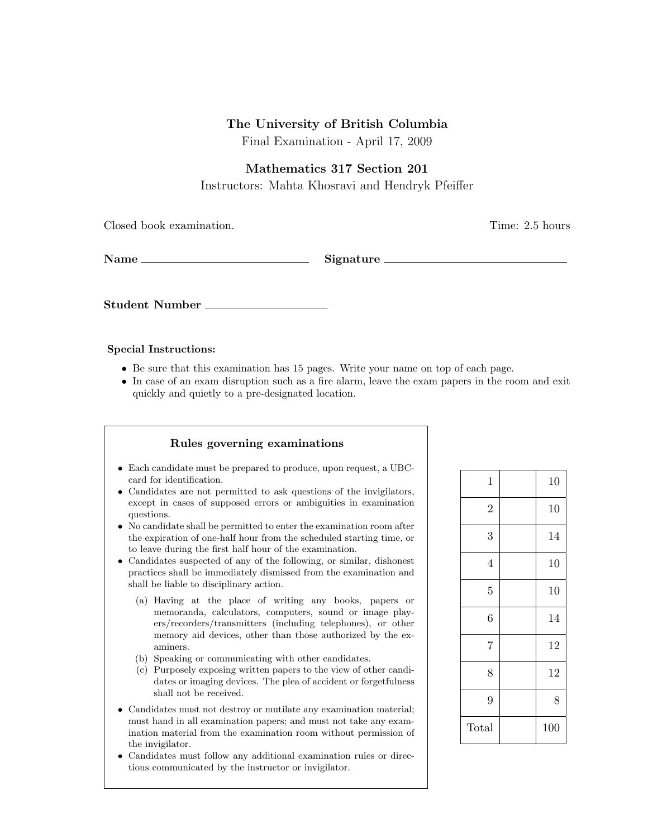## The University of British Columbia

Final Examination - April 17, 2009

Mathematics 317 Section 201

Instructors: Mahta Khosravi and Hendryk Pfeiffer

Closed book examination. Time: 2.5 hours

Name Signature

Student Number

Special Instructions:

- Be sure that this examination has 15 pages. Write your name on top of each page.
- In case of an exam disruption such as a fire alarm, leave the exam papers in the room and exit quickly and quietly to a pre-designated location.

# Rules governing examinations

- Each candidate must be prepared to produce, upon request, a UBCcard for identification.
- Candidates are not permitted to ask questions of the invigilators, except in cases of supposed errors or ambiguities in examination questions.
- No candidate shall be permitted to enter the examination room after the expiration of one-half hour from the scheduled starting time, or to leave during the first half hour of the examination.
- Candidates suspected of any of the following, or similar, dishonest practices shall be immediately dismissed from the examination and shall be liable to disciplinary action.
	- (a) Having at the place of writing any books, papers or memoranda, calculators, computers, sound or image players/recorders/transmitters (including telephones), or other memory aid devices, other than those authorized by the examiners.
	- (b) Speaking or communicating with other candidates.
	- (c) Purposely exposing written papers to the view of other candidates or imaging devices. The plea of accident or forgetfulness shall not be received.
- Candidates must not destroy or mutilate any examination material; must hand in all examination papers; and must not take any examination material from the examination room without permission of the invigilator.
- Candidates must follow any additional examination rules or directions communicated by the instructor or invigilator.

| $\mathbf{1}$   | 10  |
|----------------|-----|
| $\overline{2}$ | 10  |
| 3              | 14  |
| $\overline{4}$ | 10  |
| $\overline{5}$ | 10  |
| 6              | 14  |
| $\overline{7}$ | 12  |
| 8              | 12  |
| 9              | 8   |
| Total          | 100 |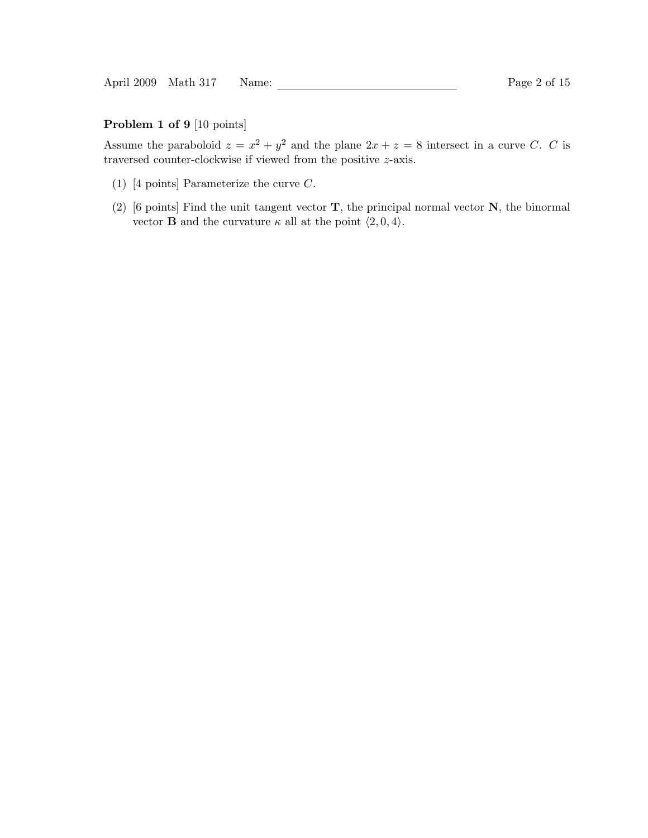## Problem 1 of 9 [10 points]

Assume the paraboloid  $z = x^2 + y^2$  and the plane  $2x + z = 8$  intersect in a curve C. C is traversed counter-clockwise if viewed from the positive z-axis.

- (1) [4 points] Parameterize the curve C.
- (2) [6 points] Find the unit tangent vector  $T$ , the principal normal vector  $N$ , the binormal vector **B** and the curvature  $\kappa$  all at the point  $\langle 2, 0, 4 \rangle$ .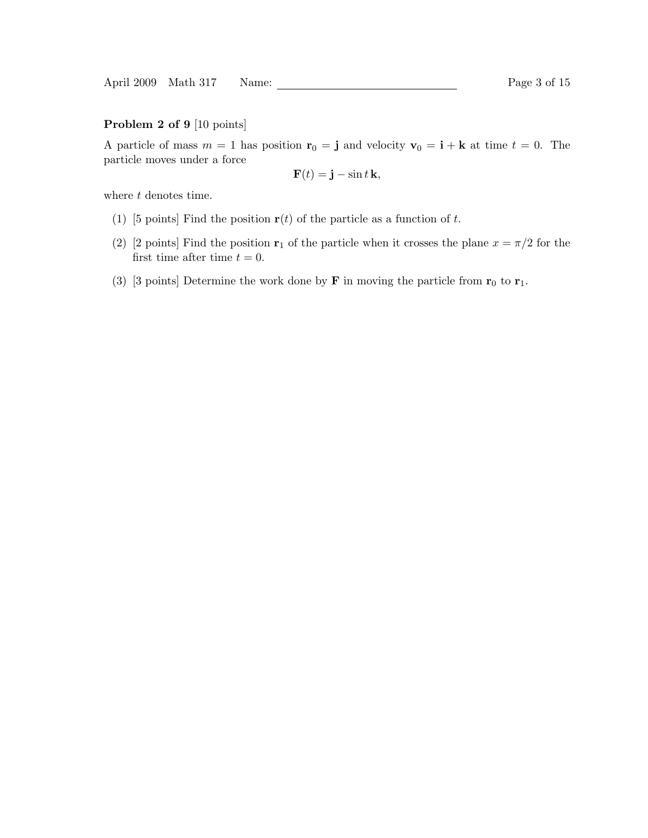## Problem 2 of 9 [10 points]

A particle of mass  $m = 1$  has position  $\mathbf{r}_0 = \mathbf{j}$  and velocity  $\mathbf{v}_0 = \mathbf{i} + \mathbf{k}$  at time  $t = 0$ . The particle moves under a force

$$
\mathbf{F}(t) = \mathbf{j} - \sin t \, \mathbf{k},
$$

where  $t$  denotes time.

- (1) [5 points] Find the position  $\mathbf{r}(t)$  of the particle as a function of t.
- (2) [2 points] Find the position  $\mathbf{r}_1$  of the particle when it crosses the plane  $x = \pi/2$  for the first time after time  $t = 0$ .
- (3) [3 points] Determine the work done by **F** in moving the particle from  $\mathbf{r}_0$  to  $\mathbf{r}_1$ .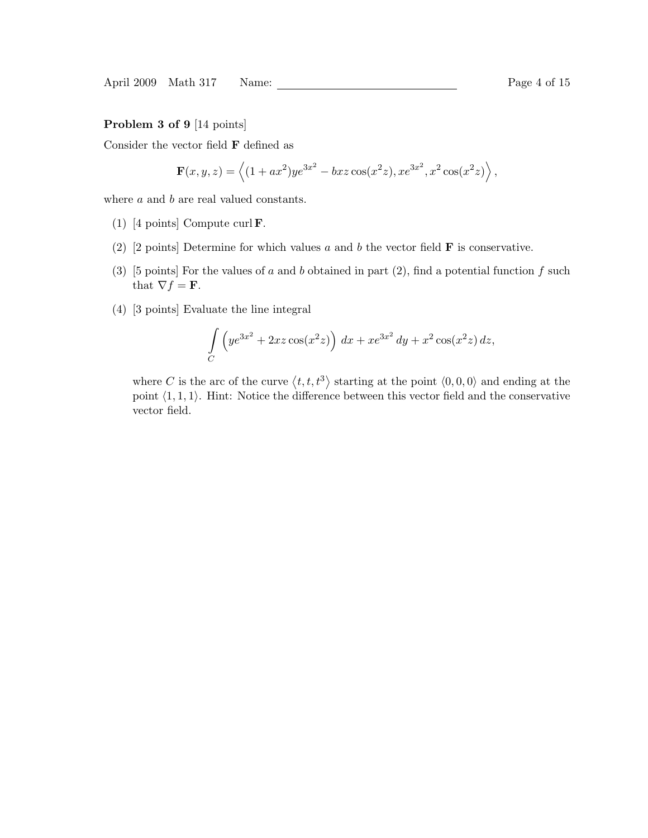#### Problem 3 of 9 [14 points]

Consider the vector field  ${\bf F}$  defined as

$$
\mathbf{F}(x, y, z) = \left\langle (1 + ax^2)ye^{3x^2} - bxz\cos(x^2z), xe^{3x^2}, x^2\cos(x^2z) \right\rangle,
$$

where *a* and *b* are real valued constants.

- (1) [4 points] Compute curl  $\mathbf{F}$ .
- (2) [2 points] Determine for which values a and b the vector field  $\bf{F}$  is conservative.
- (3) [5 points] For the values of a and b obtained in part (2), find a potential function f such that  $\nabla f = \mathbf{F}$ .
- (4) [3 points] Evaluate the line integral

$$
\int_{C} \left( y e^{3x^2} + 2xz \cos(x^2 z) \right) dx + xe^{3x^2} dy + x^2 \cos(x^2 z) dz,
$$

where C is the arc of the curve  $\langle t, t, t^3 \rangle$  starting at the point  $\langle 0, 0, 0 \rangle$  and ending at the point  $\langle 1, 1, 1 \rangle$ . Hint: Notice the difference between this vector field and the conservative vector field.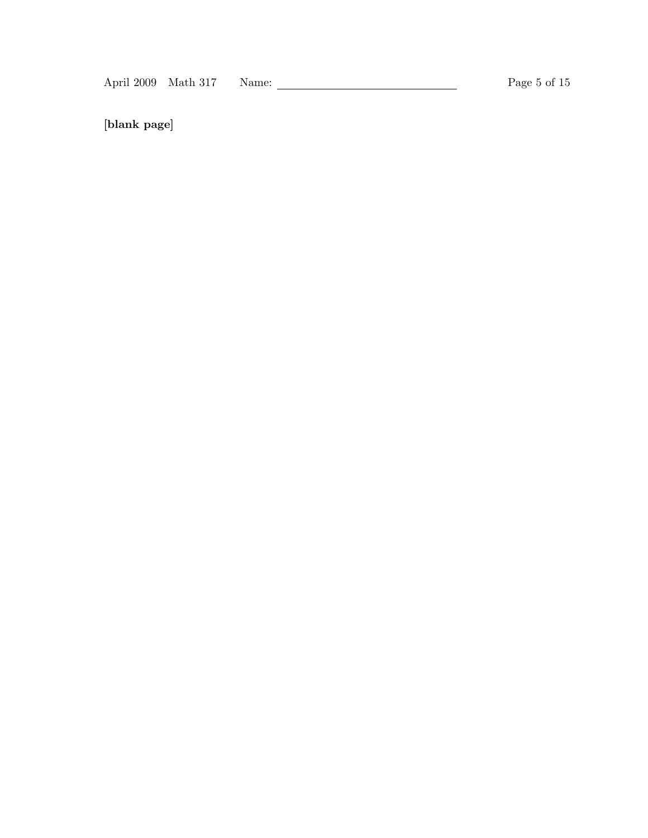April 2009 Math 317 Name: 2009 Math 317 Name: 2009 Page 5 of 15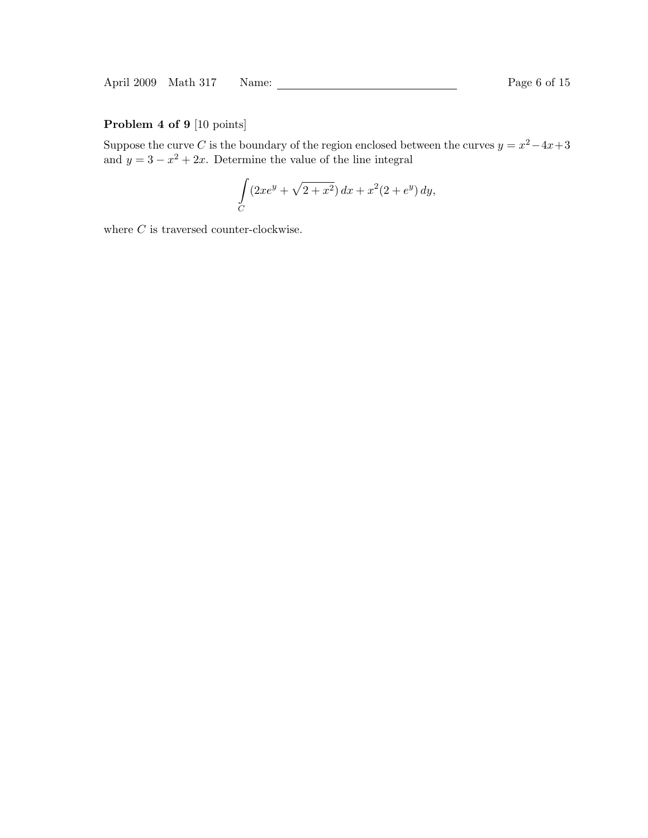## Problem 4 of 9 [10 points]

Suppose the curve C is the boundary of the region enclosed between the curves  $y = x^2 - 4x + 3$ and  $y = 3 - x^2 + 2x$ . Determine the value of the line integral

$$
\int_{C} (2xe^{y} + \sqrt{2+x^2}) dx + x^2(2+e^{y}) dy,
$$

where  $C$  is traversed counter-clockwise.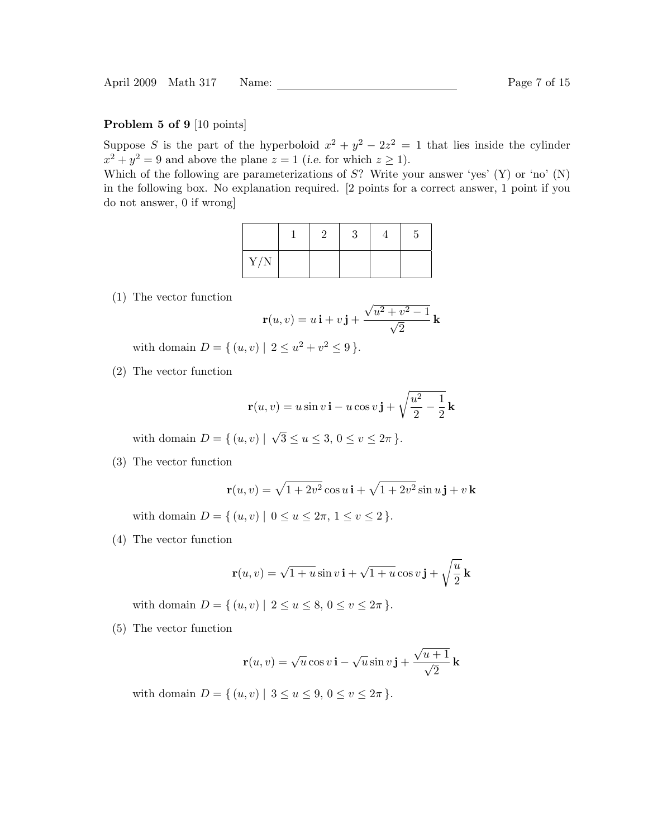#### Problem 5 of 9 [10 points]

Suppose S is the part of the hyperboloid  $x^2 + y^2 - 2z^2 = 1$  that lies inside the cylinder  $x^2 + y^2 = 9$  and above the plane  $z = 1$  (i.e. for which  $z \ge 1$ ).

Which of the following are parameterizations of  $S$ ? Write your answer 'yes'  $(Y)$  or 'no'  $(N)$ in the following box. No explanation required. [2 points for a correct answer, 1 point if you do not answer, 0 if wrong]

| Y/N |  |  |  |
|-----|--|--|--|

(1) The vector function

$$
\mathbf{r}(u,v) = u\,\mathbf{i} + v\,\mathbf{j} + \frac{\sqrt{u^2 + v^2 - 1}}{\sqrt{2}}\,\mathbf{k}
$$

with domain  $D = \{ (u, v) | 2 \le u^2 + v^2 \le 9 \}.$ 

(2) The vector function

$$
\mathbf{r}(u,v) = u \sin v \,\mathbf{i} - u \cos v \,\mathbf{j} + \sqrt{\frac{u^2}{2} - \frac{1}{2}} \,\mathbf{k}
$$

with domain  $D = \{ (u, v) |$ √  $3 \le u \le 3, 0 \le v \le 2\pi$  }.

(3) The vector function

$$
\mathbf{r}(u,v) = \sqrt{1 + 2v^2} \cos u \,\mathbf{i} + \sqrt{1 + 2v^2} \sin u \,\mathbf{j} + v \,\mathbf{k}
$$

with domain  $D = \{ (u, v) | 0 \le u \le 2\pi, 1 \le v \le 2 \}.$ 

(4) The vector function

$$
\mathbf{r}(u,v) = \sqrt{1+u}\sin v \,\mathbf{i} + \sqrt{1+u}\cos v \,\mathbf{j} + \sqrt{\frac{u}{2}}\,\mathbf{k}
$$

with domain  $D = \{ (u, v) | 2 \le u \le 8, 0 \le v \le 2\pi \}.$ 

(5) The vector function

$$
\mathbf{r}(u,v) = \sqrt{u}\cos v \,\mathbf{i} - \sqrt{u}\sin v \,\mathbf{j} + \frac{\sqrt{u+1}}{\sqrt{2}}\,\mathbf{k}
$$

with domain  $D = \{ (u, v) | 3 \le u \le 9, 0 \le v \le 2\pi \}.$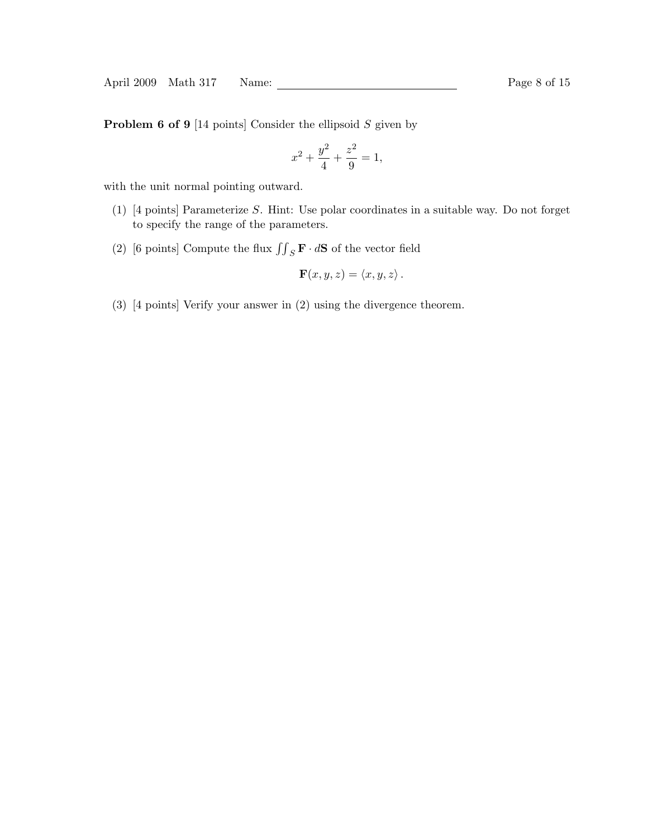**Problem 6 of 9** [14 points] Consider the ellipsoid  $S$  given by

$$
x^2 + \frac{y^2}{4} + \frac{z^2}{9} = 1,
$$

with the unit normal pointing outward.

- (1) [4 points] Parameterize S. Hint: Use polar coordinates in a suitable way. Do not forget to specify the range of the parameters.
- (2) [6 points] Compute the flux  $\iint_S \mathbf{F} \cdot d\mathbf{S}$  of the vector field

$$
\mathbf{F}(x, y, z) = \langle x, y, z \rangle.
$$

(3) [4 points] Verify your answer in (2) using the divergence theorem.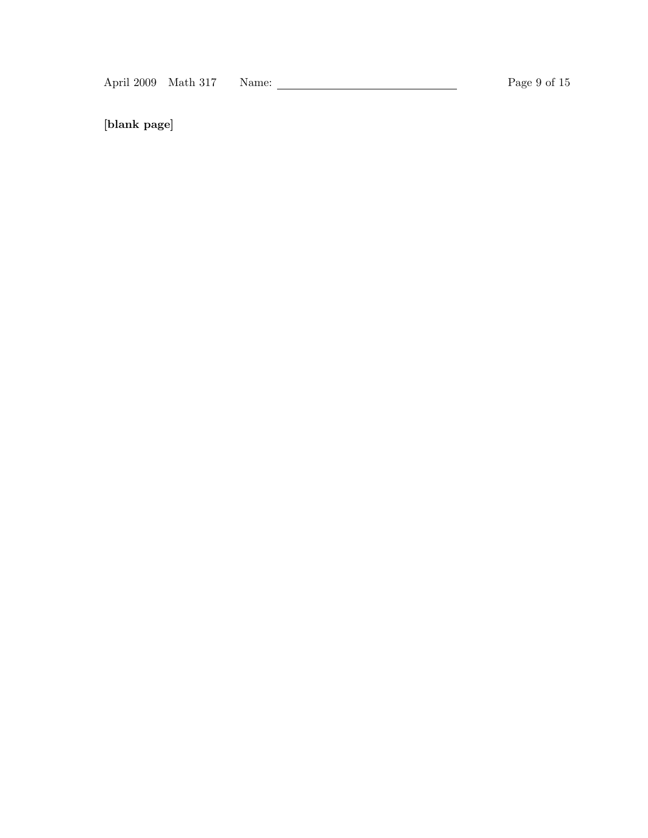April 2009 Math 317 Name: 2009 Math 317 Name: 2009 Page 9 of 15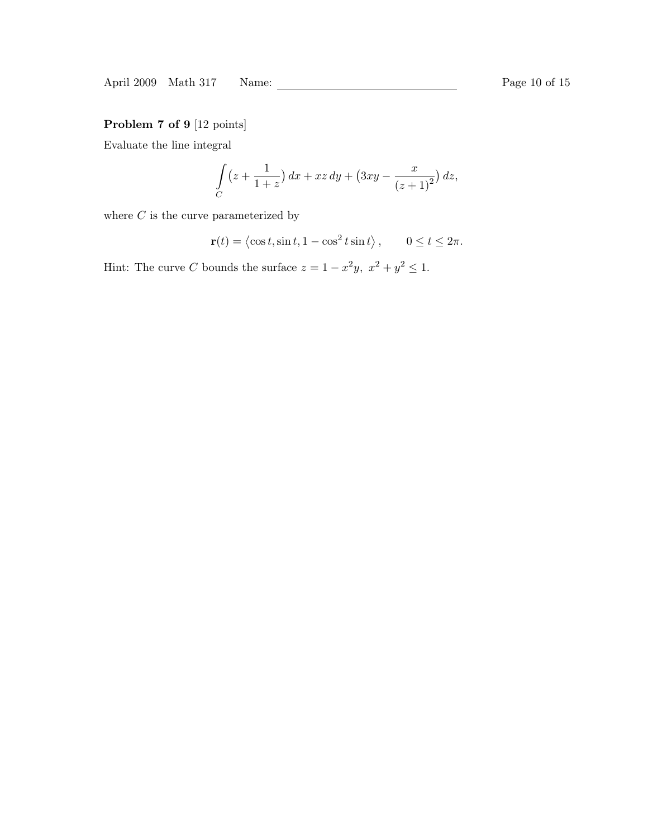## Problem 7 of 9 [12 points]

Evaluate the line integral

$$
\int_{C} (z + \frac{1}{1+z}) dx + xz dy + (3xy - \frac{x}{(z+1)^2}) dz,
$$

where  $C$  is the curve parameterized by

$$
\mathbf{r}(t) = \left\langle \cos t, \sin t, 1 - \cos^2 t \sin t \right\rangle, \qquad 0 \le t \le 2\pi.
$$

Hint: The curve C bounds the surface  $z = 1 - x^2y$ ,  $x^2 + y^2 \le 1$ .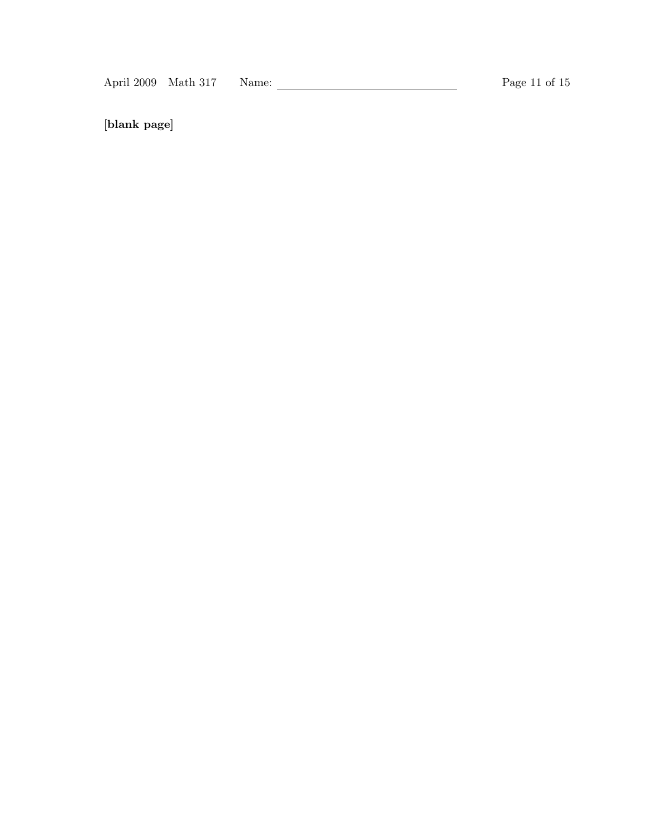April 2009 Math 317 Name: Page 11 of 15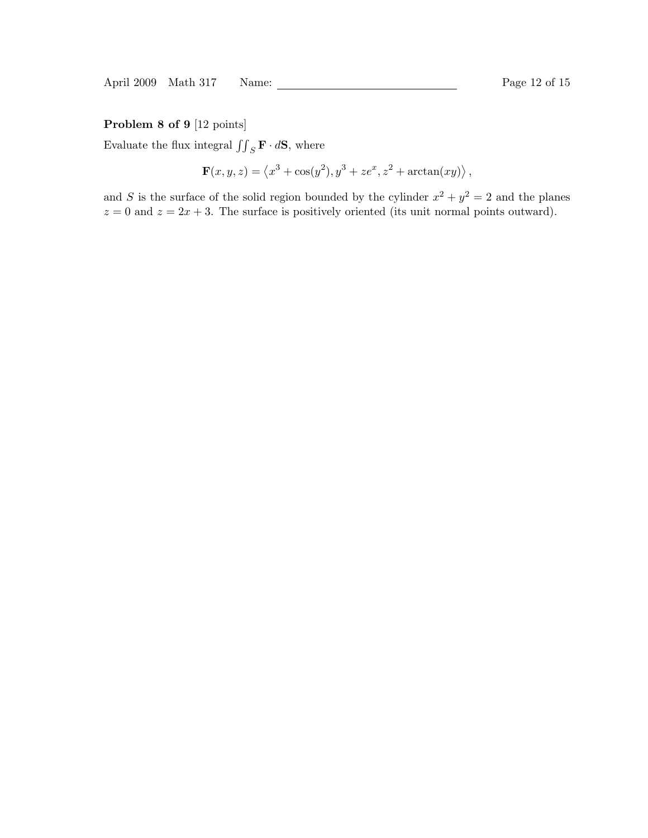## Problem 8 of 9 [12 points]

Evaluate the flux integral  $\iint_S \mathbf{F} \cdot d\mathbf{S}$ , where

$$
\mathbf{F}(x, y, z) = \langle x^3 + \cos(y^2), y^3 + z e^x, z^2 + \arctan(xy) \rangle,
$$

and S is the surface of the solid region bounded by the cylinder  $x^2 + y^2 = 2$  and the planes  $z = 0$  and  $z = 2x + 3$ . The surface is positively oriented (its unit normal points outward).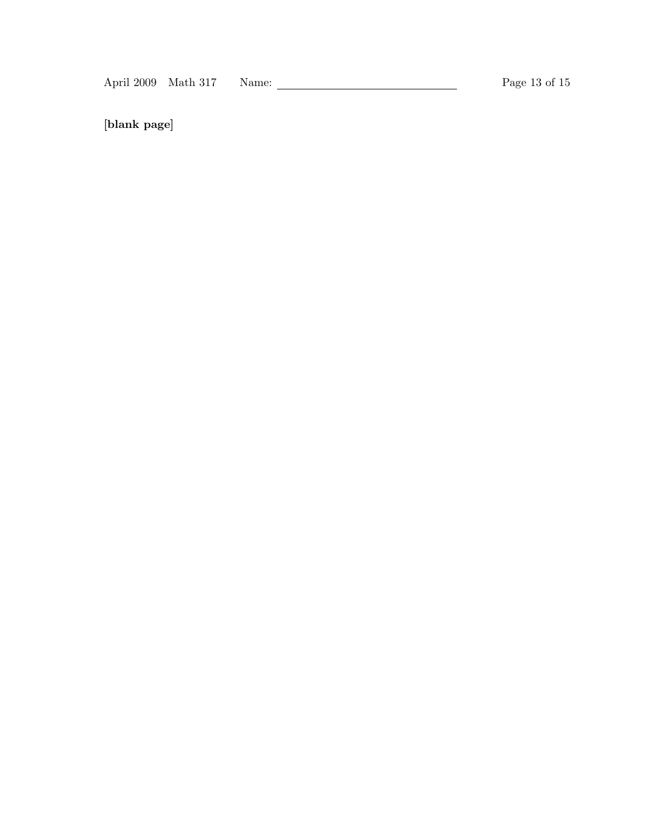April 2009 Math 317 Name: Page 13 of 15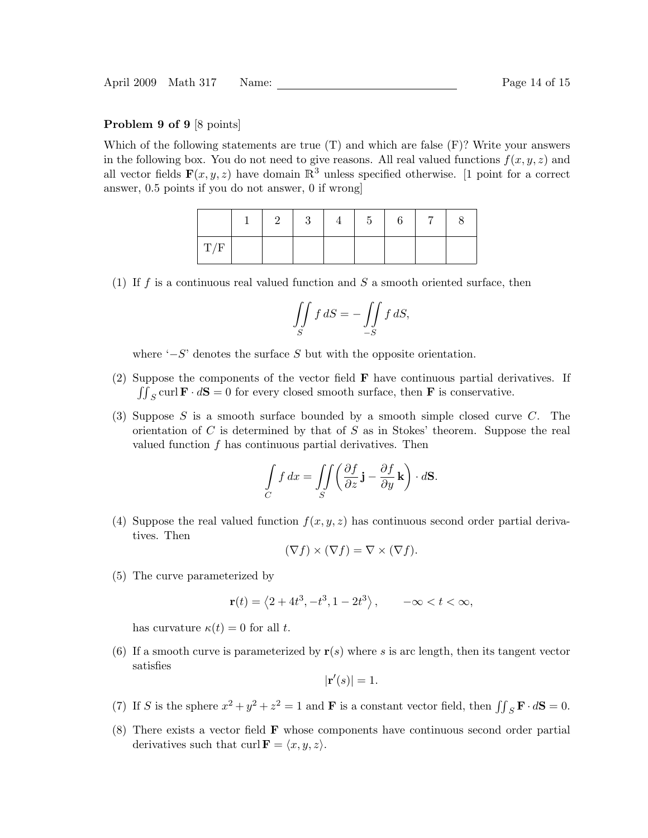#### Problem 9 of 9 [8 points]

Which of the following statements are true (T) and which are false (F)? Write your answers in the following box. You do not need to give reasons. All real valued functions  $f(x, y, z)$  and all vector fields  $\mathbf{F}(x, y, z)$  have domain  $\mathbb{R}^3$  unless specified otherwise. [1 point for a correct answer, 0.5 points if you do not answer, 0 if wrong]

|            |  | $\Omega$<br>ູບ | $-5$ |  |  |
|------------|--|----------------|------|--|--|
| $\mid$ T/F |  |                |      |  |  |

(1) If f is a continuous real valued function and S a smooth oriented surface, then

$$
\iint\limits_{S} f \, dS = -\iint\limits_{-S} f \, dS,
$$

where  $\div S'$  denotes the surface S but with the opposite orientation.

- (2) Suppose the components of the vector field F have continuous partial derivatives. If  $\iint_S \text{curl } \mathbf{F} \cdot d\mathbf{S} = 0$  for every closed smooth surface, then **F** is conservative.
- (3) Suppose  $S$  is a smooth surface bounded by a smooth simple closed curve  $C$ . The orientation of  $C$  is determined by that of  $S$  as in Stokes' theorem. Suppose the real valued function  $f$  has continuous partial derivatives. Then

$$
\int_{C} f \, dx = \iint_{S} \left( \frac{\partial f}{\partial z} \mathbf{j} - \frac{\partial f}{\partial y} \mathbf{k} \right) \cdot d\mathbf{S}.
$$

(4) Suppose the real valued function  $f(x, y, z)$  has continuous second order partial derivatives. Then

$$
(\nabla f) \times (\nabla f) = \nabla \times (\nabla f).
$$

(5) The curve parameterized by

$$
\mathbf{r}(t) = \langle 2 + 4t^3, -t^3, 1 - 2t^3 \rangle, \quad -\infty < t < \infty,
$$

has curvature  $\kappa(t) = 0$  for all t.

(6) If a smooth curve is parameterized by  $r(s)$  where s is arc length, then its tangent vector satisfies

$$
|\mathbf{r}'(s)|=1.
$$

- (7) If S is the sphere  $x^2 + y^2 + z^2 = 1$  and **F** is a constant vector field, then  $\iint_S \mathbf{F} \cdot d\mathbf{S} = 0$ .
- (8) There exists a vector field F whose components have continuous second order partial derivatives such that curl  $\mathbf{F} = \langle x, y, z \rangle$ .